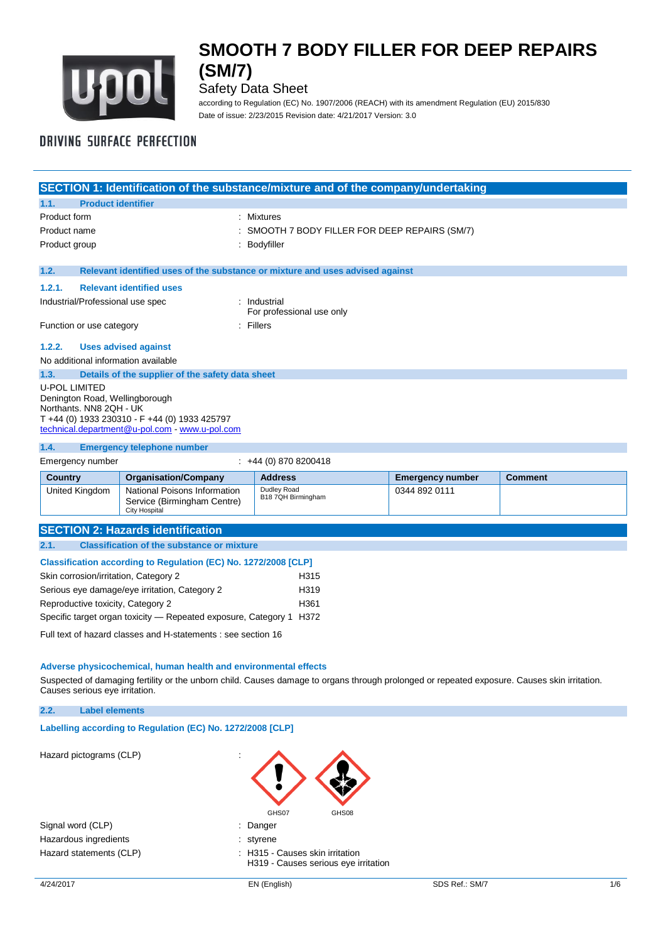

Safety Data Sheet

according to Regulation (EC) No. 1907/2006 (REACH) with its amendment Regulation (EU) 2015/830 Date of issue: 2/23/2015 Revision date: 4/21/2017 Version: 3.0

# **DRIVING SURFACE PERFECTION**

|                                                                     | SECTION 1: Identification of the substance/mixture and of the company/undertaking                                                                            |                                              |                         |                |  |
|---------------------------------------------------------------------|--------------------------------------------------------------------------------------------------------------------------------------------------------------|----------------------------------------------|-------------------------|----------------|--|
| <b>Product identifier</b><br>1.1.                                   |                                                                                                                                                              |                                              |                         |                |  |
| Product form                                                        |                                                                                                                                                              | <b>Mixtures</b>                              |                         |                |  |
| Product name                                                        |                                                                                                                                                              | SMOOTH 7 BODY FILLER FOR DEEP REPAIRS (SM/7) |                         |                |  |
| Product group                                                       |                                                                                                                                                              | Bodyfiller                                   |                         |                |  |
|                                                                     |                                                                                                                                                              |                                              |                         |                |  |
| 1.2.                                                                | Relevant identified uses of the substance or mixture and uses advised against                                                                                |                                              |                         |                |  |
| 1.2.1.                                                              | <b>Relevant identified uses</b>                                                                                                                              |                                              |                         |                |  |
| Industrial/Professional use spec                                    |                                                                                                                                                              | : Industrial<br>For professional use only    |                         |                |  |
| Function or use category                                            | : Fillers                                                                                                                                                    |                                              |                         |                |  |
| 1.2.2.                                                              | <b>Uses advised against</b>                                                                                                                                  |                                              |                         |                |  |
| No additional information available                                 |                                                                                                                                                              |                                              |                         |                |  |
| 1.3.                                                                | Details of the supplier of the safety data sheet                                                                                                             |                                              |                         |                |  |
| <b>U-POL LIMITED</b>                                                | Denington Road, Wellingborough<br>Northants, NN8 2QH - UK<br>T +44 (0) 1933 230310 - F +44 (0) 1933 425797<br>technical.department@u-pol.com - www.u-pol.com |                                              |                         |                |  |
| 1.4.                                                                | <b>Emergency telephone number</b>                                                                                                                            |                                              |                         |                |  |
| Emergency number                                                    |                                                                                                                                                              | $\div$ +44 (0) 870 8200418                   |                         |                |  |
| <b>Country</b>                                                      | <b>Organisation/Company</b>                                                                                                                                  | <b>Address</b>                               | <b>Emergency number</b> | <b>Comment</b> |  |
| United Kingdom                                                      | National Poisons Information<br>Service (Birmingham Centre)<br><b>City Hospital</b>                                                                          | Dudley Road<br>B18 7QH Birmingham            | 0344 892 0111           |                |  |
|                                                                     | <b>SECTION 2: Hazards identification</b>                                                                                                                     |                                              |                         |                |  |
| <b>Classification of the substance or mixture</b><br>2.1.           |                                                                                                                                                              |                                              |                         |                |  |
| Classification according to Regulation (EC) No. 1272/2008 [CLP]     |                                                                                                                                                              |                                              |                         |                |  |
| Skin corrosion/irritation, Category 2                               |                                                                                                                                                              | H315                                         |                         |                |  |
|                                                                     | Serious eye damage/eye irritation, Category 2                                                                                                                | H319                                         |                         |                |  |
| Reproductive toxicity, Category 2                                   |                                                                                                                                                              | H361                                         |                         |                |  |
| Specific target organ toxicity - Repeated exposure, Category 1 H372 |                                                                                                                                                              |                                              |                         |                |  |

Full text of hazard classes and H-statements : see section 16

### **Adverse physicochemical, human health and environmental effects**

Suspected of damaging fertility or the unborn child. Causes damage to organs through prolonged or repeated exposure. Causes skin irritation. Causes serious eye irritation.

### **2.2. Label elements**

**Labelling according to Regulation (EC) No. 1272/2008 [CLP]** 

Hazard pictograms (CLP)

Signal word (CLP)  $\qquad \qquad$ : Danger Hazardous ingredients in the styrene in the styrene

GHS07 GHS08

- 
- Hazard statements (CLP)  $\qquad \qquad$ : H315 Causes skin irritation H319 - Causes serious eye irritation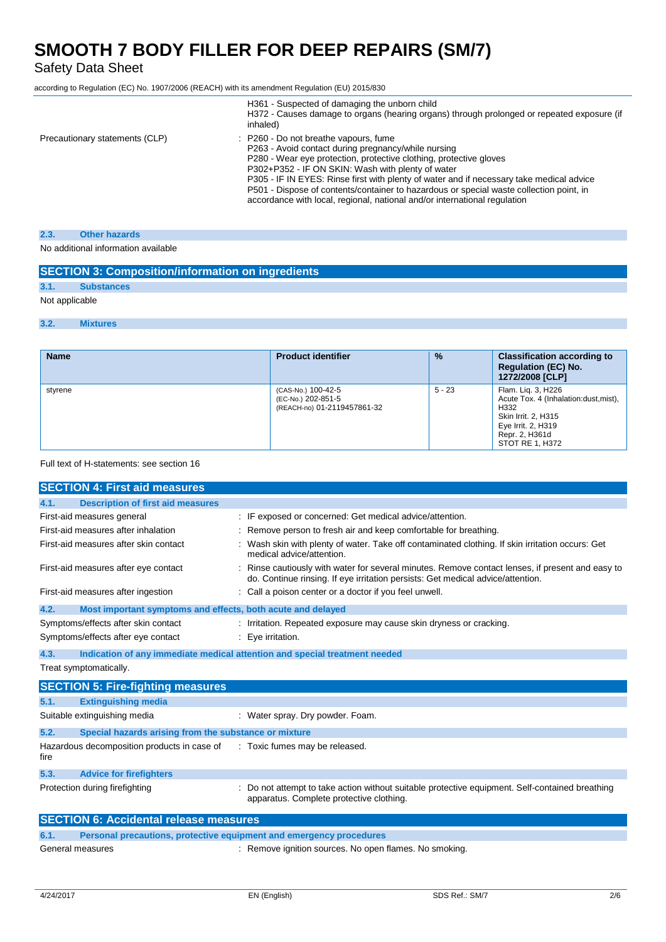## Safety Data Sheet

according to Regulation (EC) No. 1907/2006 (REACH) with its amendment Regulation (EU) 2015/830

|                                | H361 - Suspected of damaging the unborn child<br>H372 - Causes damage to organs (hearing organs) through prolonged or repeated exposure (if<br>inhaled)                                                                                                                                                                                                                                                                                                                                   |
|--------------------------------|-------------------------------------------------------------------------------------------------------------------------------------------------------------------------------------------------------------------------------------------------------------------------------------------------------------------------------------------------------------------------------------------------------------------------------------------------------------------------------------------|
| Precautionary statements (CLP) | P260 - Do not breathe vapours, fume<br>P263 - Avoid contact during pregnancy/while nursing<br>P280 - Wear eye protection, protective clothing, protective gloves<br>P302+P352 - IF ON SKIN: Wash with plenty of water<br>P305 - IF IN EYES: Rinse first with plenty of water and if necessary take medical advice<br>P501 - Dispose of contents/container to hazardous or special waste collection point, in<br>accordance with local, regional, national and/or international regulation |

#### **2.3. Other hazards**

No additional information available

## **SECTION 3: Composition/information on ingredients**

## **3.1. Substances**

Not applicable

### **3.2. Mixtures**

| <b>Name</b> | <b>Product identifier</b>                                               | $\frac{9}{6}$ | <b>Classification according to</b><br><b>Regulation (EC) No.</b><br>1272/2008 [CLP]                                                                   |
|-------------|-------------------------------------------------------------------------|---------------|-------------------------------------------------------------------------------------------------------------------------------------------------------|
| styrene     | (CAS-No.) 100-42-5<br>(EC-No.) 202-851-5<br>(REACH-no) 01-2119457861-32 | $5 - 23$      | Flam. Lig. 3, H226<br>Acute Tox. 4 (Inhalation:dust, mist),<br>H332<br>Skin Irrit. 2, H315<br>Eye Irrit. 2, H319<br>Repr. 2, H361d<br>STOT RE 1, H372 |

### Full text of H-statements: see section 16

|      | <b>SECTION 4: First aid measures</b>                        |                                                                                                                                                                                   |
|------|-------------------------------------------------------------|-----------------------------------------------------------------------------------------------------------------------------------------------------------------------------------|
| 4.1. | <b>Description of first aid measures</b>                    |                                                                                                                                                                                   |
|      | First-aid measures general                                  | : IF exposed or concerned: Get medical advice/attention.                                                                                                                          |
|      | First-aid measures after inhalation                         | : Remove person to fresh air and keep comfortable for breathing.                                                                                                                  |
|      | First-aid measures after skin contact                       | Wash skin with plenty of water. Take off contaminated clothing. If skin irritation occurs: Get<br>medical advice/attention.                                                       |
|      | First-aid measures after eye contact                        | Rinse cautiously with water for several minutes. Remove contact lenses, if present and easy to<br>do. Continue rinsing. If eye irritation persists: Get medical advice/attention. |
|      | First-aid measures after ingestion                          | : Call a poison center or a doctor if you feel unwell.                                                                                                                            |
| 4.2. | Most important symptoms and effects, both acute and delayed |                                                                                                                                                                                   |
|      | Symptoms/effects after skin contact                         | : Irritation. Repeated exposure may cause skin dryness or cracking.                                                                                                               |
|      | Symptoms/effects after eye contact                          | : Eye irritation.                                                                                                                                                                 |
| 4.3. |                                                             | Indication of any immediate medical attention and special treatment needed                                                                                                        |
|      | Treat symptomatically.                                      |                                                                                                                                                                                   |
|      | <b>SECTION 5: Fire-fighting measures</b>                    |                                                                                                                                                                                   |
| 5.1. | <b>Extinguishing media</b>                                  |                                                                                                                                                                                   |
|      | Suitable extinguishing media                                | : Water spray. Dry powder. Foam.                                                                                                                                                  |
| 5.2. | Special hazards arising from the substance or mixture       |                                                                                                                                                                                   |
|      | Hazardous decomposition products in case of                 | : Toxic fumes may be released.                                                                                                                                                    |

| 5.3. | <b>Advice for firefighters</b> |                                                                                                                                             |
|------|--------------------------------|---------------------------------------------------------------------------------------------------------------------------------------------|
|      | Protection during firefighting | : Do not attempt to take action without suitable protective equipment. Self-contained breathing<br>apparatus. Complete protective clothing. |

# **SECTION 6: Accidental release measures**

| 6.1. |                  | <b>Personal precautions, protective equipment and emergency procedures</b> |  |
|------|------------------|----------------------------------------------------------------------------|--|
|      | General measures | : Remove ignition sources. No open flames. No smoking.                     |  |

fire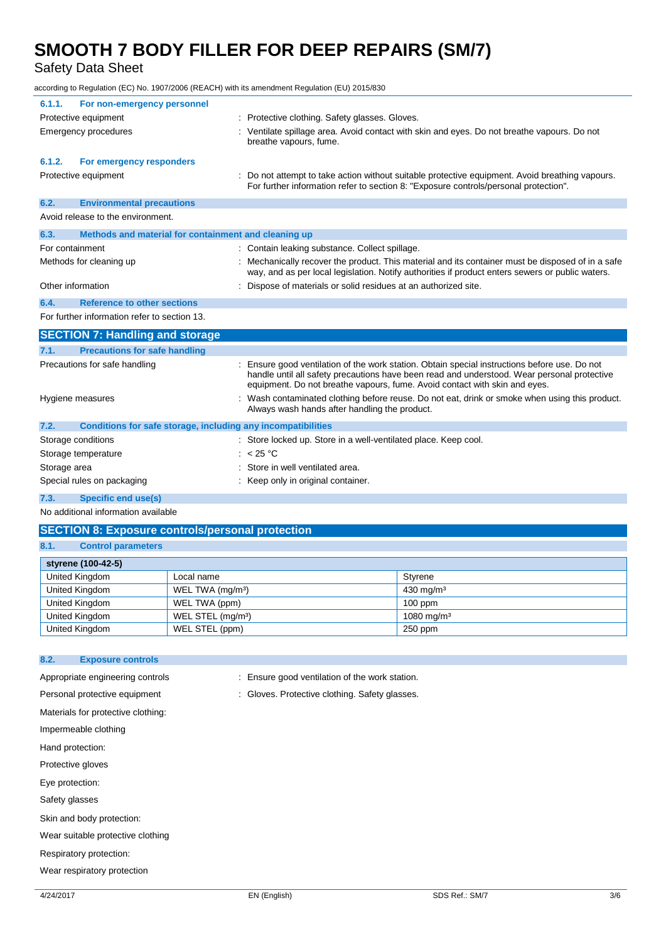Safety Data Sheet

according to Regulation (EC) No. 1907/2006 (REACH) with its amendment Regulation (EU) 2015/830

| For non-emergency personnel<br>6.1.1.                                |                                                                                                                                                                                                                                                                          |
|----------------------------------------------------------------------|--------------------------------------------------------------------------------------------------------------------------------------------------------------------------------------------------------------------------------------------------------------------------|
| Protective equipment                                                 | : Protective clothing. Safety glasses. Gloves.                                                                                                                                                                                                                           |
| <b>Emergency procedures</b>                                          | Ventilate spillage area. Avoid contact with skin and eyes. Do not breathe vapours. Do not<br>breathe vapours, fume.                                                                                                                                                      |
| For emergency responders<br>6.1.2.                                   |                                                                                                                                                                                                                                                                          |
| Protective equipment                                                 | : Do not attempt to take action without suitable protective equipment. Avoid breathing vapours.<br>For further information refer to section 8: "Exposure controls/personal protection".                                                                                  |
| 6.2.<br><b>Environmental precautions</b>                             |                                                                                                                                                                                                                                                                          |
| Avoid release to the environment.                                    |                                                                                                                                                                                                                                                                          |
| Methods and material for containment and cleaning up<br>6.3.         |                                                                                                                                                                                                                                                                          |
| For containment                                                      | : Contain leaking substance. Collect spillage.                                                                                                                                                                                                                           |
| Methods for cleaning up                                              | : Mechanically recover the product. This material and its container must be disposed of in a safe<br>way, and as per local legislation. Notify authorities if product enters sewers or public waters.                                                                    |
| Other information                                                    | : Dispose of materials or solid residues at an authorized site.                                                                                                                                                                                                          |
| <b>Reference to other sections</b><br>6.4.                           |                                                                                                                                                                                                                                                                          |
| For further information refer to section 13.                         |                                                                                                                                                                                                                                                                          |
| <b>SECTION 7: Handling and storage</b>                               |                                                                                                                                                                                                                                                                          |
| <b>Precautions for safe handling</b><br>7.1.                         |                                                                                                                                                                                                                                                                          |
| Precautions for safe handling                                        | Ensure good ventilation of the work station. Obtain special instructions before use. Do not<br>handle until all safety precautions have been read and understood. Wear personal protective<br>equipment. Do not breathe vapours, fume. Avoid contact with skin and eyes. |
| Hygiene measures                                                     | : Wash contaminated clothing before reuse. Do not eat, drink or smoke when using this product.<br>Always wash hands after handling the product.                                                                                                                          |
| 7.2.<br>Conditions for safe storage, including any incompatibilities |                                                                                                                                                                                                                                                                          |
| Storage conditions                                                   | : Store locked up. Store in a well-ventilated place. Keep cool.                                                                                                                                                                                                          |
| Storage temperature                                                  | : $< 25 °C$                                                                                                                                                                                                                                                              |
| Storage area                                                         | Store in well ventilated area.                                                                                                                                                                                                                                           |
| Special rules on packaging                                           | : Keep only in original container.                                                                                                                                                                                                                                       |
| 7.3.<br>Specific end use(s)                                          |                                                                                                                                                                                                                                                                          |

No additional information available

## **SECTION 8: Exposure controls/personal protection**

### **8.1. Control parameters**

| styrene (100-42-5) |                               |                        |  |  |
|--------------------|-------------------------------|------------------------|--|--|
| United Kingdom     | Local name                    | Stvrene                |  |  |
| United Kingdom     | WEL TWA (mg/m <sup>3</sup> )  | $430 \text{ mg/m}^3$   |  |  |
| United Kingdom     | WEL TWA (ppm)                 | $100$ ppm              |  |  |
| United Kingdom     | WEL STEL (mg/m <sup>3</sup> ) | 1080 mg/m <sup>3</sup> |  |  |
| United Kingdom     | WEL STEL (ppm)                | $250$ ppm              |  |  |

### **8.2. Exposure controls**

- Appropriate engineering controls : Ensure good ventilation of the work station.
- Personal protective equipment : Gloves. Protective clothing. Safety glasses.

Materials for protective clothing:

Impermeable clothing

Hand protection:

Protective gloves

Eye protection:

Safety glasses

Skin and body protection:

Wear suitable protective clothing

Respiratory protection:

Wear respiratory protection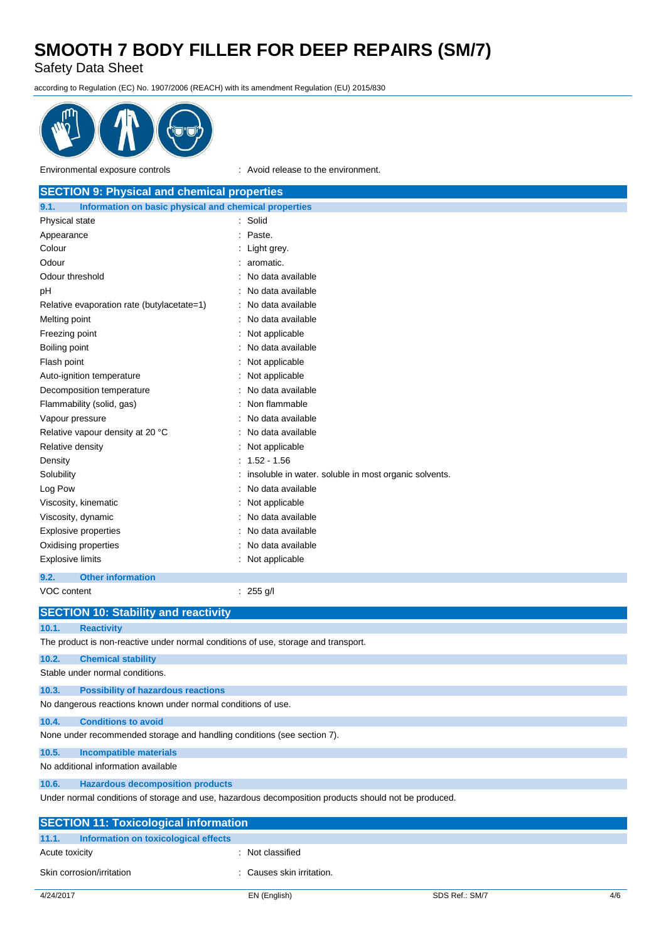Safety Data Sheet

according to Regulation (EC) No. 1907/2006 (REACH) with its amendment Regulation (EU) 2015/830



Environmental exposure controls : Avoid release to the environment.

| <b>SECTION 9: Physical and chemical properties</b>                                 |                                                       |  |  |  |
|------------------------------------------------------------------------------------|-------------------------------------------------------|--|--|--|
| Information on basic physical and chemical properties<br>9.1.                      |                                                       |  |  |  |
| Physical state                                                                     | : Solid                                               |  |  |  |
| Appearance                                                                         | Paste.<br>۰                                           |  |  |  |
| Colour                                                                             | Light grey.                                           |  |  |  |
| Odour                                                                              | aromatic.                                             |  |  |  |
| Odour threshold                                                                    | No data available                                     |  |  |  |
| pH                                                                                 | No data available                                     |  |  |  |
| Relative evaporation rate (butylacetate=1)                                         | No data available                                     |  |  |  |
| Melting point                                                                      | No data available                                     |  |  |  |
| Freezing point                                                                     | Not applicable                                        |  |  |  |
| Boiling point                                                                      | No data available                                     |  |  |  |
| Flash point                                                                        | Not applicable                                        |  |  |  |
| Auto-ignition temperature                                                          | Not applicable                                        |  |  |  |
| Decomposition temperature                                                          | No data available                                     |  |  |  |
| Flammability (solid, gas)                                                          | Non flammable                                         |  |  |  |
| Vapour pressure                                                                    | No data available                                     |  |  |  |
| Relative vapour density at 20 °C                                                   | No data available                                     |  |  |  |
| Relative density                                                                   | Not applicable                                        |  |  |  |
| Density                                                                            | $1.52 - 1.56$                                         |  |  |  |
| Solubility                                                                         | insoluble in water. soluble in most organic solvents. |  |  |  |
| Log Pow                                                                            | No data available                                     |  |  |  |
| Viscosity, kinematic                                                               | Not applicable                                        |  |  |  |
| Viscosity, dynamic                                                                 | No data available                                     |  |  |  |
| <b>Explosive properties</b>                                                        | No data available                                     |  |  |  |
| Oxidising properties                                                               | No data available                                     |  |  |  |
| <b>Explosive limits</b>                                                            | Not applicable                                        |  |  |  |
| 9.2.<br><b>Other information</b>                                                   |                                                       |  |  |  |
| VOC content                                                                        | : $255 g/l$                                           |  |  |  |
| <b>SECTION 10: Stability and reactivity</b>                                        |                                                       |  |  |  |
| 10.1.<br><b>Reactivity</b>                                                         |                                                       |  |  |  |
| The product is non-reactive under normal conditions of use, storage and transport. |                                                       |  |  |  |

**10.2. Chemical stability** Stable under normal conditions.

**10.3. Possibility of hazardous reactions** No dangerous reactions known under normal conditions of use.

**10.4. Conditions to avoid**

None under recommended storage and handling conditions (see section 7).

**10.5. Incompatible materials**

No additional information available

### **10.6. Hazardous decomposition products**

Under normal conditions of storage and use, hazardous decomposition products should not be produced.

| <b>SECTION 11: Toxicological information</b>  |                           |                |     |  |  |
|-----------------------------------------------|---------------------------|----------------|-----|--|--|
| 11.1.<br>Information on toxicological effects |                           |                |     |  |  |
| Acute toxicity                                | : Not classified          |                |     |  |  |
| Skin corrosion/irritation                     | : Causes skin irritation. |                |     |  |  |
| 4/24/2017                                     | EN (English)              | SDS Ref.: SM/7 | 4/6 |  |  |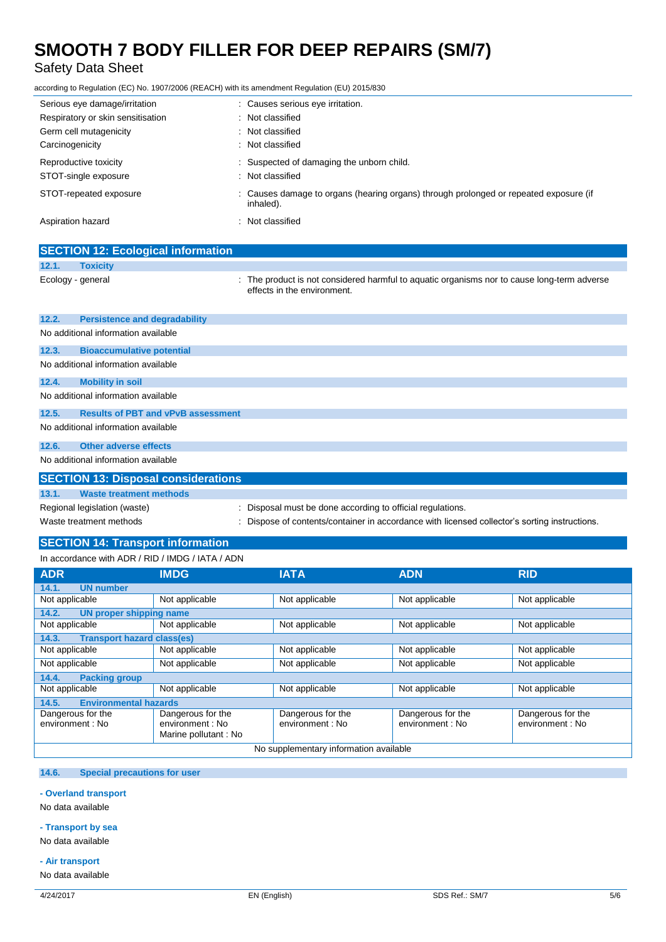## Safety Data Sheet

according to Regulation (EC) No. 1907/2006 (REACH) with its amendment Regulation (EU) 2015/830

| Serious eye damage/irritation<br>Respiratory or skin sensitisation<br>Germ cell mutagenicity<br>Carcinogenicity | : Causes serious eye irritation.<br>: Not classified<br>: Not classified<br>: Not classified       |
|-----------------------------------------------------------------------------------------------------------------|----------------------------------------------------------------------------------------------------|
| Reproductive toxicity<br>STOT-single exposure                                                                   | : Suspected of damaging the unborn child.<br>: Not classified                                      |
| STOT-repeated exposure                                                                                          | : Causes damage to organs (hearing organs) through prolonged or repeated exposure (if<br>inhaled). |
| Aspiration hazard                                                                                               | : Not classified                                                                                   |

|                         | <b>SECTION 12: Ecological information</b>  |                                                                                                                          |
|-------------------------|--------------------------------------------|--------------------------------------------------------------------------------------------------------------------------|
| 12.1.                   | <b>Toxicity</b>                            |                                                                                                                          |
|                         | Ecology - general                          | The product is not considered harmful to aquatic organisms nor to cause long-term adverse<br>effects in the environment. |
| 12.2.                   | <b>Persistence and degradability</b>       |                                                                                                                          |
|                         | No additional information available        |                                                                                                                          |
| 12.3.                   | <b>Bioaccumulative potential</b>           |                                                                                                                          |
|                         | No additional information available        |                                                                                                                          |
| 12.4.                   | <b>Mobility in soil</b>                    |                                                                                                                          |
|                         | No additional information available        |                                                                                                                          |
| 12.5.                   | <b>Results of PBT and vPvB assessment</b>  |                                                                                                                          |
|                         | No additional information available        |                                                                                                                          |
| 12.6.                   | <b>Other adverse effects</b>               |                                                                                                                          |
|                         | No additional information available        |                                                                                                                          |
|                         | <b>SECTION 13: Disposal considerations</b> |                                                                                                                          |
| 13.1.                   | <b>Waste treatment methods</b>             |                                                                                                                          |
|                         | Regional legislation (waste)               | : Disposal must be done according to official regulations.                                                               |
| Waste treatment methods |                                            | Dispose of contents/container in accordance with licensed collector's sorting instructions.                              |

# **SECTION 14: Transport information**

### In accordance with ADR / RID / IMDG / IATA / ADN

| <b>ADR</b>                                 | <b>IMDG</b>                                                   | <b>IATA</b>                           | <b>ADN</b>                            | <b>RID</b>                           |
|--------------------------------------------|---------------------------------------------------------------|---------------------------------------|---------------------------------------|--------------------------------------|
| <b>UN number</b><br>14.1.                  |                                                               |                                       |                                       |                                      |
| Not applicable                             | Not applicable                                                | Not applicable                        | Not applicable                        | Not applicable                       |
| 14.2.<br><b>UN proper shipping name</b>    |                                                               |                                       |                                       |                                      |
| Not applicable                             | Not applicable                                                | Not applicable                        | Not applicable                        | Not applicable                       |
| 14.3.<br><b>Transport hazard class(es)</b> |                                                               |                                       |                                       |                                      |
| Not applicable                             | Not applicable                                                | Not applicable                        | Not applicable                        | Not applicable                       |
| Not applicable                             | Not applicable                                                | Not applicable                        | Not applicable                        | Not applicable                       |
| 14.4.<br><b>Packing group</b>              |                                                               |                                       |                                       |                                      |
| Not applicable                             | Not applicable                                                | Not applicable                        | Not applicable                        | Not applicable                       |
| <b>Environmental hazards</b><br>14.5.      |                                                               |                                       |                                       |                                      |
| Dangerous for the<br>environment: No       | Dangerous for the<br>environment : No<br>Marine pollutant: No | Dangerous for the<br>environment : No | Dangerous for the<br>environment : No | Dangerous for the<br>environment: No |
| No supplementary information available     |                                                               |                                       |                                       |                                      |

### **14.6. Special precautions for user**

### **- Overland transport**

No data available

### **- Transport by sea**

## No data available

**- Air transport**

## No data available